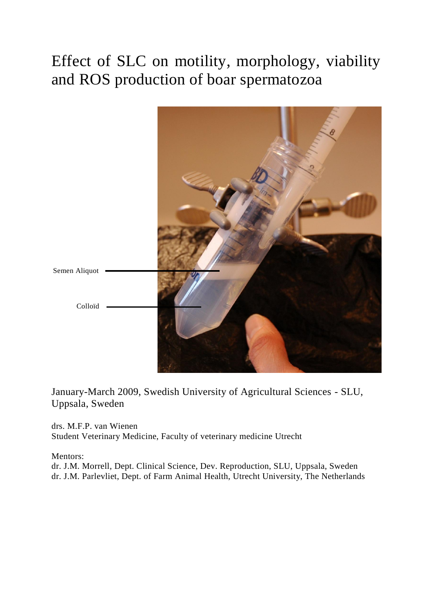# <span id="page-0-0"></span>Effect of SLC on motility, morphology, viability and ROS production of boar spermatozoa



January-March 2009, Swedish University of Agricultural Sciences - SLU, Uppsala, Sweden

drs. M.F.P. van Wienen Student Veterinary Medicine, Faculty of veterinary medicine Utrecht

Mentors:

dr. J.M. Morrell, Dept. Clinical Science, Dev. Reproduction, SLU, Uppsala, Sweden dr. J.M. Parlevliet, Dept. of Farm Animal Health, Utrecht University, The Netherlands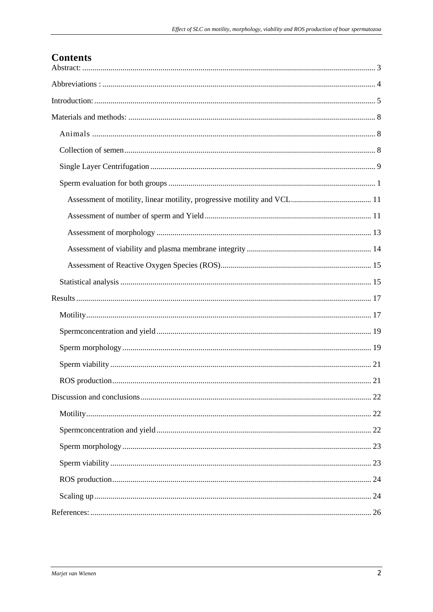# **Contents**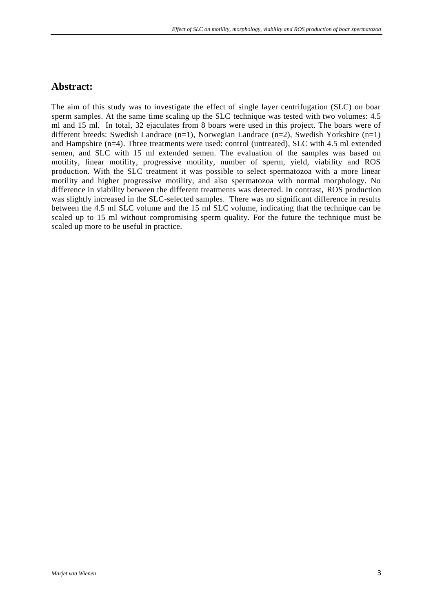# <span id="page-2-0"></span>**Abstract:**

<span id="page-2-1"></span>The aim of this study was to investigate the effect of single layer centrifugation (SLC) on boar sperm samples. At the same time scaling up the SLC technique was tested with two volumes: 4.5 ml and 15 ml. In total, 32 ejaculates from 8 boars were used in this project. The boars were of different breeds: Swedish Landrace (n=1), Norwegian Landrace (n=2), Swedish Yorkshire (n=1) and Hampshire (n=4). Three treatments were used: control (untreated), SLC with 4.5 ml extended semen, and SLC with 15 ml extended semen. The evaluation of the samples was based on motility, linear motility, progressive motility, number of sperm, yield, viability and ROS production. With the SLC treatment it was possible to select spermatozoa with a more linear motility and higher progressive motility, and also spermatozoa with normal morphology. No difference in viability between the different treatments was detected. In contrast, ROS production was slightly increased in the SLC-selected samples. There was no significant difference in results between the 4.5 ml SLC volume and the 15 ml SLC volume, indicating that the technique can be scaled up to 15 ml without compromising sperm quality. For the future the technique must be scaled up more to be useful in practice.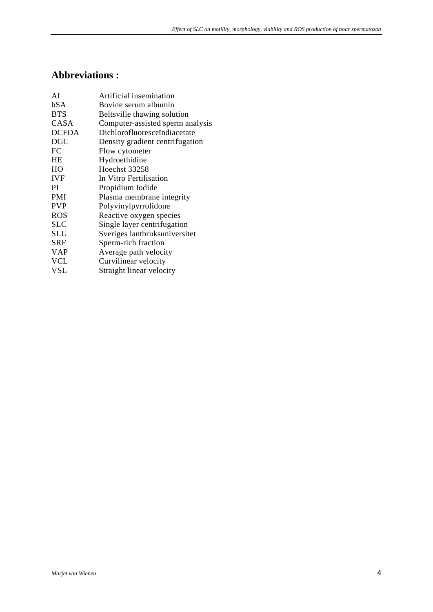# **Abbreviations :**

| AI           | Artificial insemination          |
|--------------|----------------------------------|
| bSA          | Bovine serum albumin             |
| <b>BTS</b>   | Beltsville thawing solution      |
| <b>CASA</b>  | Computer-assisted sperm analysis |
| <b>DCFDA</b> | Dichlorofluoresceïndiacetate     |
| <b>DGC</b>   | Density gradient centrifugation  |
| FC           | Flow cytometer                   |
| <b>HE</b>    | Hydroethidine                    |
| HO           | Hoechst 33258                    |
| <b>IVF</b>   | In Vitro Fertilisation           |
| PI           | Propidium Iodide                 |
| <b>PMI</b>   | Plasma membrane integrity        |
| <b>PVP</b>   | Polyvinylpyrrolidone             |
| <b>ROS</b>   | Reactive oxygen species          |
| <b>SLC</b>   | Single layer centrifugation      |
| <b>SLU</b>   | Sveriges lantbruksuniversitet    |
| SRF          | Sperm-rich fraction              |
| <b>VAP</b>   | Average path velocity            |
| <b>VCL</b>   | Curvilinear velocity             |
| VSL          | Straight linear velocity         |
|              |                                  |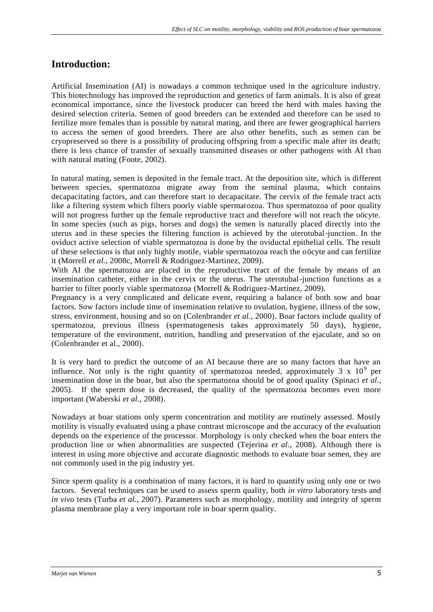# <span id="page-4-0"></span>**Introduction:**

Artificial Insemination (AI) is nowadays a common technique used in the agriculture industry. This biotechnology has improved the reproduction and genetics of farm animals. It is also of great economical importance, since the livestock producer can breed the herd with males having the desired selection criteria. Semen of good breeders can be extended and therefore can be used to fertilize more females than is possible by natural mating, and there are fewer geographical barriers to access the semen of good breeders. There are also other benefits, such as semen can be cryopreserved so there is a possibility of producing offspring from a specific male after its death; there is less chance of transfer of sexually transmitted diseases or other pathogens with AI than with natural mating (Foote, 2002).

In natural mating, semen is deposited in the female tract. At the deposition site, which is different between species, spermatozoa migrate away from the seminal plasma, which contains decapacitating factors, and can therefore start to decapacitate. The cervix of the female tract acts like a filtering system which filters poorly viable spermatozoa. Thus spermatozoa of poor quality will not progress further up the female reproductive tract and therefore will not reach the oöcyte. In some species (such as pigs, horses and dogs) the semen is naturally placed directly into the uterus and in these species the filtering function is achieved by the uterotubal-junction. In the oviduct active selection of viable spermatozoa is done by the oviductal epithelial cells. The result of these selections is that only highly motile, viable spermatozoa reach the oöcyte and can fertilize it (Morrell *et al.*, 2008c, Morrell & Rodriguez-Martinez, 2009).

With AI the spermatozoa are placed in the reproductive tract of the female by means of an insemination catheter, either in the cervix or the uterus. The uterotubal-junction functions as a barrier to filter poorly viable spermatozoa (Morrell & Rodriguez-Martinez, 2009).

Pregnancy is a very complicated and delicate event, requiring a balance of both sow and boar factors. Sow factors include time of insemination relative to ovulation, hygiene, illness of the sow, stress, environment, housing and so on (Colenbrander *et al.*, 2000). Boar factors include quality of spermatozoa, previous illness (spermatogenesis takes approximately 50 days), hygiene, temperature of the environment, nutrition, handling and preservation of the ejaculate, and so on (Colenbrander et al., 2000).

It is very hard to predict the outcome of an AI because there are so many factors that have an influence. Not only is the right quantity of spermatozoa needed, approximately 3 x  $10^9$  per insemination dose in the boar, but also the spermatozoa should be of good quality (Spinaci *et al.*, 2005). If the sperm dose is decreased, the quality of the spermatozoa becomes even more important (Waberski *et al.*, 2008).

Nowadays at boar stations only sperm concentration and motility are routinely assessed. Mostly motility is visually evaluated using a phase contrast microscope and the accuracy of the evaluation depends on the experience of the processor. Morphology is only checked when the boar enters the production line or when abnormalities are suspected (Tejerina *et al.*, 2008). Although there is interest in using more objective and accurate diagnostic methods to evaluate boar semen, they are not commonly used in the pig industry yet.

Since sperm quality is a combination of many factors, it is hard to quantify using only one or two factors. Several techniques can be used to assess sperm quality, both *in vitro* laboratory tests and *in vivo* tests (Turba *et al.*, 2007). Parameters such as morphology, motility and integrity of sperm plasma membrane play a very important role in boar sperm quality.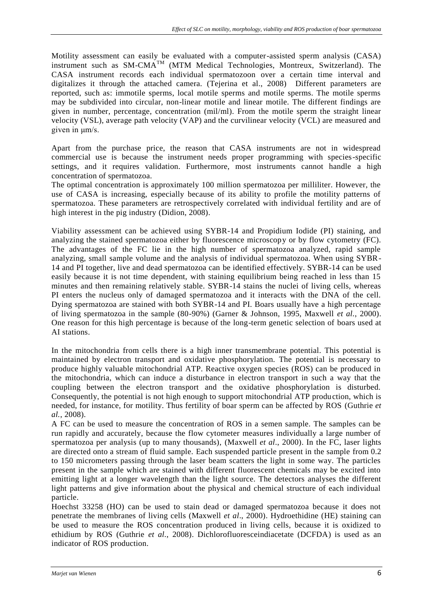Motility assessment can easily be evaluated with a computer-assisted sperm analysis (CASA) instrument such as SM-CMATM (MTM Medical Technologies, Montreux, Switzerland). The CASA instrument records each individual spermatozoon over a certain time interval and digitalizes it through the attached camera. (Tejerina et al., 2008) Different parameters are reported, such as: immotile sperms, local motile sperms and motile sperms. The motile sperms may be subdivided into circular, non-linear motile and linear motile. The different findings are given in number, percentage, concentration (mil/ml). From the motile sperm the straight linear velocity (VSL), average path velocity (VAP) and the curvilinear velocity (VCL) are measured and given in μm/s.

Apart from the purchase price, the reason that CASA instruments are not in widespread commercial use is because the instrument needs proper programming with species-specific settings, and it requires validation. Furthermore, most instruments cannot handle a high concentration of spermatozoa.

The optimal concentration is approximately 100 million spermatozoa per milliliter. However, the use of CASA is increasing, especially because of its ability to profile the motility patterns of spermatozoa. These parameters are retrospectively correlated with individual fertility and are of high interest in the pig industry (Didion, 2008).

Viability assessment can be achieved using SYBR-14 and Propidium Iodide (PI) staining, and analyzing the stained spermatozoa either by fluorescence microscopy or by flow cytometry (FC). The advantages of the FC lie in the high number of spermatozoa analyzed, rapid sample analyzing, small sample volume and the analysis of individual spermatozoa. When using SYBR-14 and PI together, live and dead spermatozoa can be identified effectively. SYBR-14 can be used easily because it is not time dependent, with staining equilibrium being reached in less than 15 minutes and then remaining relatively stable. SYBR-14 stains the nuclei of living cells, whereas PI enters the nucleus only of damaged spermatozoa and it interacts with the DNA of the cell. Dying spermatozoa are stained with both SYBR-14 and PI. Boars usually have a high percentage of living spermatozoa in the sample (80-90%) (Garner & Johnson, 1995, Maxwell *et al.*, 2000). One reason for this high percentage is because of the long-term genetic selection of boars used at AI stations.

In the mitochondria from cells there is a high inner transmembrane potential. This potential is maintained by electron transport and oxidative phosphorylation. The potential is necessary to produce highly valuable mitochondrial ATP. Reactive oxygen species (ROS) can be produced in the mitochondria, which can induce a disturbance in electron transport in such a way that the coupling between the electron transport and the oxidative phosphorylation is disturbed. Consequently, the potential is not high enough to support mitochondrial ATP production, which is needed, for instance, for motility. Thus fertility of boar sperm can be affected by ROS (Guthrie *et al.*, 2008).

A FC can be used to measure the concentration of ROS in a semen sample. The samples can be run rapidly and accurately, because the flow cytometer measures individually a large number of spermatozoa per analysis (up to many thousands), (Maxwell *et al*., 2000). In the FC, laser lights are directed onto a stream of fluid sample. Each suspended particle present in the sample from 0.2 to 150 micrometers passing through the laser beam scatters the light in some way. The particles present in the sample which are stained with different fluorescent chemicals may be excited into emitting light at a longer wavelength than the light source. The detectors analyses the different light patterns and give information about the physical and chemical structure of each individual particle.

Hoechst 33258 (HO) can be used to stain dead or damaged spermatozoa because it does not penetrate the membranes of living cells (Maxwell *et al*., 2000). Hydroethidine (HE) staining can be used to measure the ROS concentration produced in living cells, because it is oxidized to ethidium by ROS (Guthrie *et al.*, 2008). Dichlorofluoresceindiacetate (DCFDA) is used as an indicator of ROS production.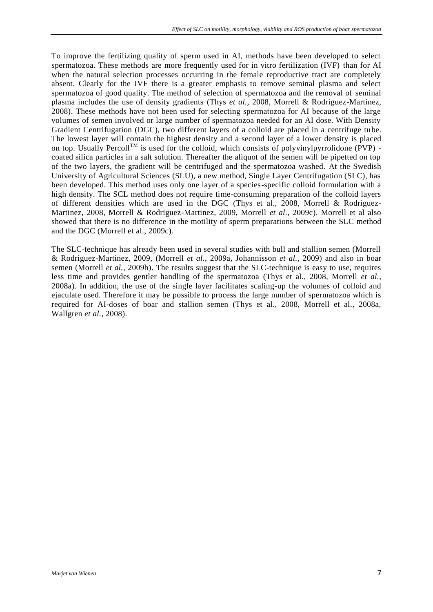To improve the fertilizing quality of sperm used in AI, methods have been developed to select spermatozoa. These methods are more frequently used for in vitro fertilization (IVF) than for AI when the natural selection processes occurring in the female reproductive tract are completely absent. Clearly for the IVF there is a greater emphasis to remove seminal plasma and select spermatozoa of good quality. The method of selection of spermatozoa and the removal of seminal plasma includes the use of density gradients (Thys *et al.*, 2008, Morrell & Rodriguez-Martinez, 2008). These methods have not been used for selecting spermatozoa for AI because of the large volumes of semen involved or large number of spermatozoa needed for an AI dose. With Density Gradient Centrifugation (DGC), two different layers of a colloid are placed in a centrifuge tube. The lowest layer will contain the highest density and a second layer of a lower density is placed on top. Usually Percoll<sup>TM</sup> is used for the colloid, which consists of polyvinylpyrrolidone (PVP) coated silica particles in a salt solution. Thereafter the aliquot of the semen will be pipetted on top of the two layers, the gradient will be centrifuged and the spermatozoa washed. At the Swedish University of Agricultural Sciences (SLU), a new method, Single Layer Centrifugation (SLC), has been developed. This method uses only one layer of a species-specific colloid formulation with a high density. The SCL method does not require time-consuming preparation of the colloid layers of different densities which are used in the DGC (Thys et al., 2008, Morrell & Rodriguez-Martinez, 2008, Morrell & Rodriguez-Martinez, 2009, Morrell *et al.*, 2009c). Morrell et al also showed that there is no difference in the motility of sperm preparations between the SLC method and the DGC (Morrell et al., 2009c).

The SLC-technique has already been used in several studies with bull and stallion semen (Morrell & Rodriguez-Martinez, 2009, (Morrell *et al.*, 2009a, Johannisson *et al.*, 2009) and also in boar semen (Morrell *et al.*, 2009b). The results suggest that the SLC-technique is easy to use, requires less time and provides gentler handling of the spermatozoa (Thys et al., 2008, Morrell *et al.*, 2008a). In addition, the use of the single layer facilitates scaling-up the volumes of colloid and ejaculate used. Therefore it may be possible to process the large number of spermatozoa which is required for AI-doses of boar and stallion semen (Thys et al., 2008, Morrell et al., 2008a, Wallgren *et al.*, 2008).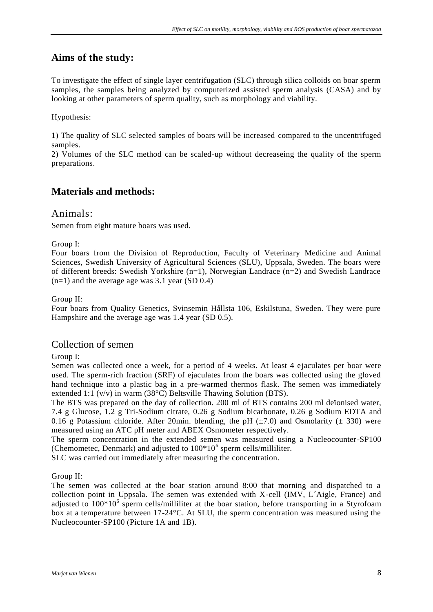# **Aims of the study:**

To investigate the effect of single layer centrifugation (SLC) through silica colloids on boar sperm samples, the samples being analyzed by computerized assisted sperm analysis (CASA) and by looking at other parameters of sperm quality, such as morphology and viability.

Hypothesis:

1) The quality of SLC selected samples of boars will be increased compared to the uncentrifuged samples.

<span id="page-7-0"></span>2) Volumes of the SLC method can be scaled-up without decreaseing the quality of the sperm preparations.

# **Materials and methods:**

### <span id="page-7-1"></span>Animals:

Semen from eight mature boars was used.

#### Group I:

Four boars from the Division of Reproduction, Faculty of Veterinary Medicine and Animal Sciences, Swedish University of Agricultural Sciences (SLU), Uppsala, Sweden. The boars were of different breeds: Swedish Yorkshire (n=1), Norwegian Landrace (n=2) and Swedish Landrace  $(n=1)$  and the average age was 3.1 year (SD 0.4)

#### Group II:

Four boars from Quality Genetics, Svinsemin Hållsta 106, Eskilstuna, Sweden. They were pure Hampshire and the average age was 1.4 year (SD 0.5).

### <span id="page-7-2"></span>Collection of semen

#### Group I:

Semen was collected once a week, for a period of 4 weeks. At least 4 ejaculates per boar were used. The sperm-rich fraction (SRF) of ejaculates from the boars was collected using the gloved hand technique into a plastic bag in a pre-warmed thermos flask. The semen was immediately extended 1:1 (v/v) in warm (38°C) Beltsville Thawing Solution (BTS).

The BTS was prepared on the day of collection. 200 ml of BTS contains 200 ml deïonised water, 7.4 g Glucose, 1.2 g Tri-Sodium citrate, 0.26 g Sodium bicarbonate, 0.26 g Sodium EDTA and 0.16 g Potassium chloride. After 20min. blending, the pH  $(\pm 7.0)$  and Osmolarity ( $\pm$  330) were measured using an ATC pH meter and ABEX Osmometer respectively.

The sperm concentration in the extended semen was measured using a Nucleocounter-SP100 (Chemometec, Denmark) and adjusted to  $100*10<sup>6</sup>$  sperm cells/milliliter.

SLC was carried out immediately after measuring the concentration.

Group II:

The semen was collected at the boar station around 8:00 that morning and dispatched to a collection point in Uppsala. The semen was extended with X-cell (IMV, L´Aigle, France) and adjusted to 100\*10<sup>6</sup> sperm cells/milliliter at the boar station, before transporting in a Styrofoam box at a temperature between 17-24°C. At SLU, the sperm concentration was measured using the Nucleocounter-SP100 (Picture 1A and 1B).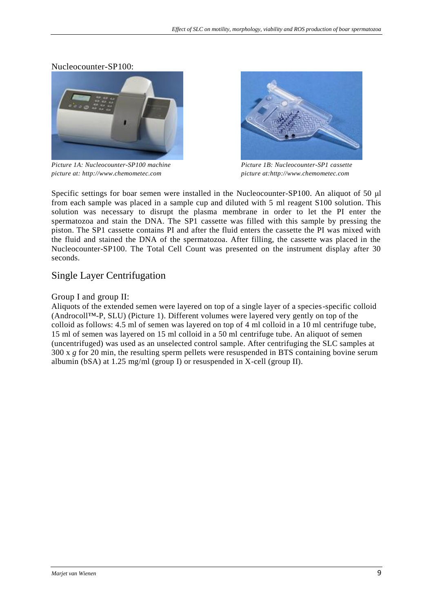Nucleocounter-SP100:



*Picture 1A: Nucleocounter-SP100 machine Picture 1B: Nucleocounter-SP1 cassette picture at: http://www.chemometec.com picture at:http://www.chemometec.com*



Specific settings for boar semen were installed in the Nucleocounter-SP100. An aliquot of 50 μl from each sample was placed in a sample cup and diluted with 5 ml reagent S100 solution. This solution was necessary to disrupt the plasma membrane in order to let the PI enter the spermatozoa and stain the DNA. The SP1 cassette was filled with this sample by pressing the piston. The SP1 cassette contains PI and after the fluid enters the cassette the PI was mixed with the fluid and stained the DNA of the spermatozoa. After filling, the cassette was placed in the Nucleocounter-SP100. The Total Cell Count was presented on the instrument display after 30 seconds.

# <span id="page-8-0"></span>Single Layer Centrifugation

#### Group I and group II:

Aliquots of the extended semen were layered on top of a single layer of a species-specific colloid (Androcoll™-P, SLU) (Picture 1). Different volumes were layered very gently on top of the colloid as follows: 4.5 ml of semen was layered on top of 4 ml colloid in a 10 ml centrifuge tube, 15 ml of semen was layered on 15 ml colloid in a 50 ml centrifuge tube. An aliquot of semen (uncentrifuged) was used as an unselected control sample. After centrifuging the SLC samples at 300 x *g* for 20 min, the resulting sperm pellets were resuspended in BTS containing bovine serum albumin (bSA) at 1.25 mg/ml (group I) or resuspended in X-cell (group II).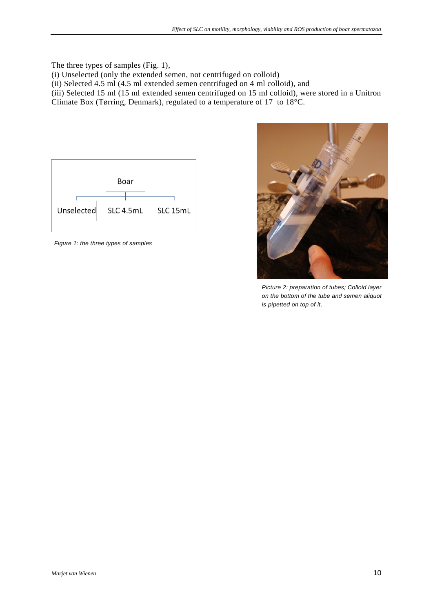The three types of samples (Fig. 1),

(i) Unselected (only the extended semen, not centrifuged on colloid)

(ii) Selected 4.5 ml (4.5 ml extended semen centrifuged on 4 ml colloid), and

(iii) Selected 15 ml (15 ml extended semen centrifuged on 15 ml colloid), were stored in a Unitron Climate Box (Tørring, Denmark), regulated to a temperature of 17 to 18°C.



*Figure 1: the three types of samples*



*Picture 2: preparation of tubes; Colloid layer on the bottom of the tube and semen aliquot is pipetted on top of it.*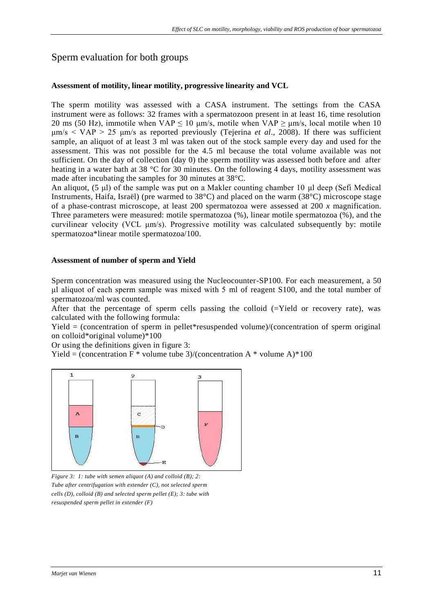# Sperm evaluation for both groups

#### <span id="page-10-0"></span>**Assessment of motility, linear motility, progressive linearity and VCL**

The sperm motility was assessed with a CASA instrument. The settings from the CASA instrument were as follows: 32 frames with a spermatozoon present in at least 16, time resolution 20 ms (50 Hz), immotile when VAP  $\leq$  10 μm/s, motile when VAP  $\geq$  μm/s, local motile when 10 μm/s < VAP > 25 μm/s as reported previously (Tejerina *et al*., 2008). If there was sufficient sample, an aliquot of at least 3 ml was taken out of the stock sample every day and used for the assessment. This was not possible for the 4.5 ml because the total volume available was not sufficient. On the day of collection (day 0) the sperm motility was assessed both before and after heating in a water bath at 38 °C for 30 minutes. On the following 4 days, motility assessment was made after incubating the samples for 30 minutes at 38°C.

An aliquot, (5 μl) of the sample was put on a Makler counting chamber 10 μl deep (Sefi Medical Instruments, Haifa, Israël) (pre warmed to 38°C) and placed on the warm (38°C) microscope stage of a phase-contrast microscope, at least 200 spermatozoa were assessed at 200 *x* magnification. Three parameters were measured: motile spermatozoa (%), linear motile spermatozoa (%), and the curvilinear velocity (VCL  $\mu$ m/s). Progressive motility was calculated subsequently by: motile spermatozoa\*linear motile spermatozoa/100.

#### <span id="page-10-1"></span>**Assessment of number of sperm and Yield**

Sperm concentration was measured using the Nucleocounter-SP100. For each measurement, a 50 μl aliquot of each sperm sample was mixed with 5 ml of reagent S100, and the total number of spermatozoa/ml was counted.

After that the percentage of sperm cells passing the colloid (=Yield or recovery rate), was calculated with the following formula:

 $Yield = (concentration of sperm in pellet*resuspended volume)/(concentration of sperm original$ on colloid\*original volume)\*100

Or using the definitions given in figure 3:

Yield = (concentration F  $*$  volume tube 3)/(concentration A  $*$  volume A) $*100$ 



*Figure 3: 1: tube with semen aliquot (A) and colloid (B); 2: Tube after centrifugation with extender (C), not selected sperm cells (D), colloid (B) and selected sperm pellet (E); 3: tube with resuspended sperm pellet in extender (F)*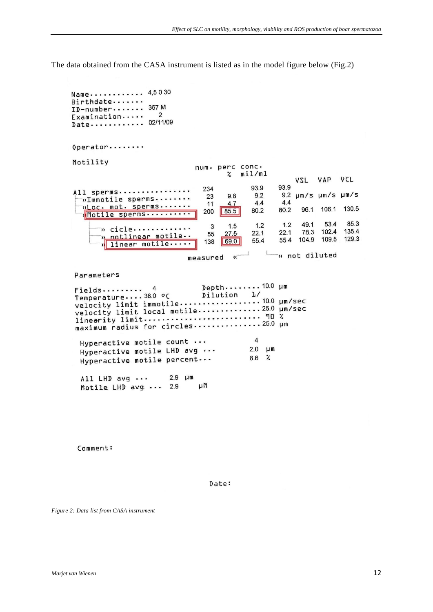The data obtained from the CASA instrument is listed as in the model figure below (Fig.2)

Name........... 4,5030 Birthdate....... ID-number....... 367 M  $\overline{2}$  $Examination \cdots$ Date........... 02/11/09 Operator........ Motility num. perc conc.  $\mathbf{z}$  $min/m1$ VSL VAP VCL 93.9 93.9 234 All sperms............... 9.2 µm/s µm/s µm/s 23 9.8  $9.2$ »Immotile sperms........  $4.4$  $4.4$ ploc. mot. sperms....... 11  $4.7$ 96.1 106.1 130.5 80.2 80.2  $85.5$ 200 Motile sperms.......... 85.3 49.1 53.4  $\mathbf{3}$  $1.5$  $1.2$  $12$ » cicle............. 135.4 102.4  $22.1$ 78.3  $27.5$  $22.1$ 55 notlinear motile..  $\overline{\mathbf{v}}$ 129.3 554 104.9 109.5 55.4 138 69.0 linear motile.... 뉇  $\mathbb{L}$ n not diluted measured  $\mathcal{U}$ Parameters Depth........10.0 µm  $\overline{4}$ Fields.........  $J/$ Temperature....38.0 °C Dilution  $\overline{4}$ Hyperactive motile count ...  $2.0 \quad \mu$ m Hyperactive motile LHD avg ...  $8.6$  % Hyperactive motile percent... All LHD avg ...  $2.9$   $\mu$ m μM Motile LHD avg ... 2.9

Comment:

Date:

*Figure 2: Data list from CASA instrument*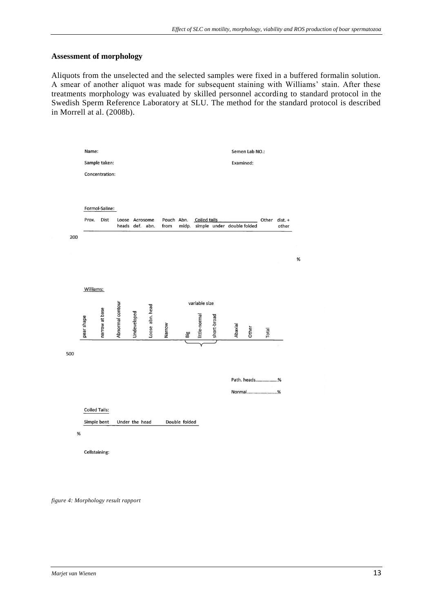#### <span id="page-12-0"></span>**Assessment of morphology**

Aliquots from the unselected and the selected samples were fixed in a buffered formalin solution. A smear of another aliquot was made for subsequent staining with Williams' stain. After these treatments morphology was evaluated by skilled personnel according to standard protocol in the Swedish Sperm Reference Laboratory at SLU. The method for the standard protocol is described in Morrell at al. (2008b).



<span id="page-12-1"></span>*figure 4: Morphology result rapport*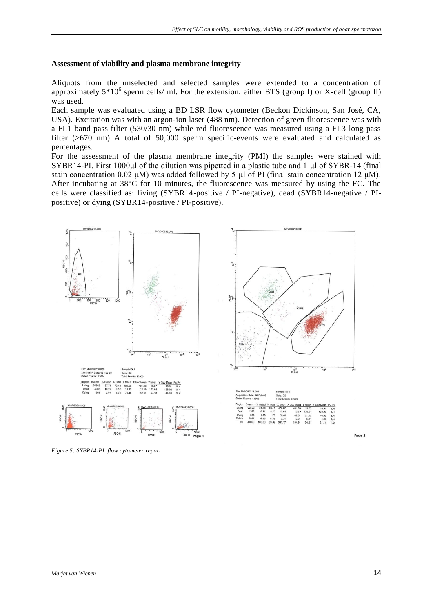#### **Assessment of viability and plasma membrane integrity**

Aliquots from the unselected and selected samples were extended to a concentration of approximately  $5*10^6$  sperm cells/ ml. For the extension, either BTS (group I) or X-cell (group II) was used.

Each sample was evaluated using a BD LSR flow cytometer (Beckon Dickinson, San José, CA, USA). Excitation was with an argon-ion laser (488 nm). Detection of green fluorescence was with a FL1 band pass filter (530/30 nm) while red fluorescence was measured using a FL3 long pass filter (>670 nm) A total of 50,000 sperm specific-events were evaluated and calculated as percentages.

For the assessment of the plasma membrane integrity (PMI) the samples were stained with SYBR14-PI. First 1000μl of the dilution was pipetted in a plastic tube and 1 μl of SYBR-14 (final stain concentration 0.02 μM) was added followed by 5 μl of PI (final stain concentration 12 μM). After incubating at 38°C for 10 minutes, the fluorescence was measured by using the FC. The cells were classified as: living (SYBR14-positive / PI-negative), dead (SYBR14-negative / PIpositive) or dying (SYBR14-positive / PI-positive).



<span id="page-13-0"></span>*Figure 5: SYBR14-PI flow cytometer report*

Page 2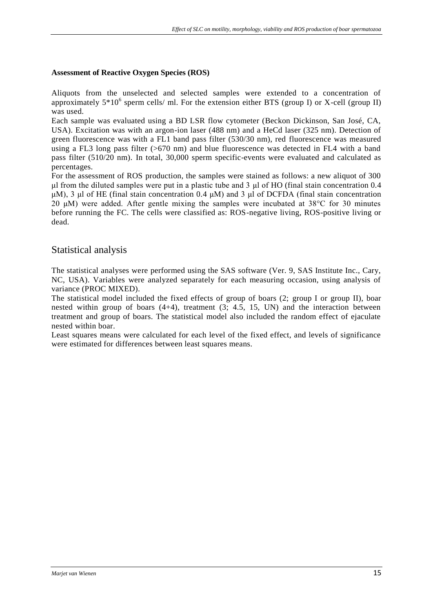#### **Assessment of Reactive Oxygen Species (ROS)**

Aliquots from the unselected and selected samples were extended to a concentration of approximately  $5*10^6$  sperm cells/ ml. For the extension either BTS (group I) or X-cell (group II) was used.

Each sample was evaluated using a BD LSR flow cytometer (Beckon Dickinson, San José, CA, USA). Excitation was with an argon-ion laser (488 nm) and a HeCd laser (325 nm). Detection of green fluorescence was with a FL1 band pass filter (530/30 nm), red fluorescence was measured using a FL3 long pass filter (>670 nm) and blue fluorescence was detected in FL4 with a band pass filter (510/20 nm). In total, 30,000 sperm specific-events were evaluated and calculated as percentages.

For the assessment of ROS production, the samples were stained as follows: a new aliquot of 300 μl from the diluted samples were put in a plastic tube and 3 μl of HO (final stain concentration 0.4 μM), 3 μl of HE (final stain concentration 0.4 μM) and 3 μl of DCFDA (final stain concentration 20 μM) were added. After gentle mixing the samples were incubated at 38°C for 30 minutes before running the FC. The cells were classified as: ROS-negative living, ROS-positive living or dead.

#### <span id="page-14-0"></span>Statistical analysis

The statistical analyses were performed using the SAS software (Ver. 9, SAS Institute Inc., Cary, NC, USA). Variables were analyzed separately for each measuring occasion, using analysis of variance (PROC MIXED).

The statistical model included the fixed effects of group of boars (2; group I or group II), boar nested within group of boars (4+4), treatment (3; 4.5, 15, UN) and the interaction between treatment and group of boars. The statistical model also included the random effect of ejaculate nested within boar.

Least squares means were calculated for each level of the fixed effect, and levels of significance were estimated for differences between least squares means.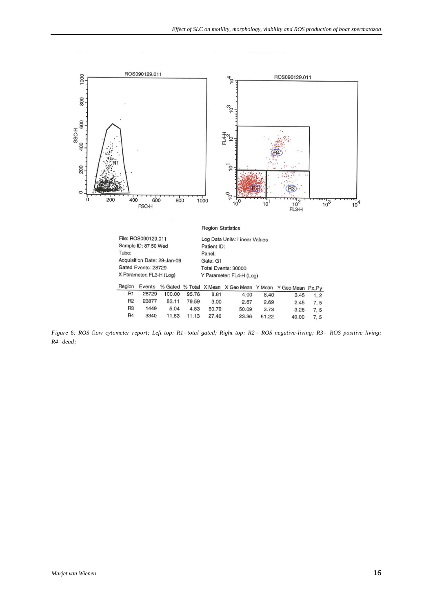

*Figure 6: ROS* fl*ow cytometer report; Left top: R1=total gated; Right top: R2= ROS negative-living; R3= ROS positive living; R4=dead;*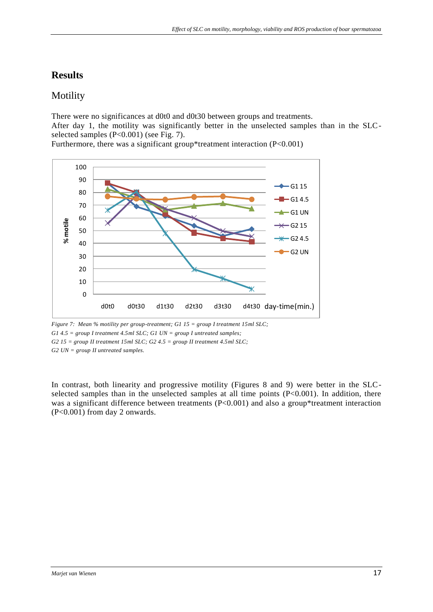# <span id="page-16-0"></span>**Results**

# <span id="page-16-1"></span>Motility

There were no significances at d0t0 and d0t30 between groups and treatments.

After day 1, the motility was significantly better in the unselected samples than in the SLCselected samples (P<0.001) (see Fig. 7).

Furthermore, there was a significant group\*treatment interaction (P<0.001)



*Figure 7: Mean % motility per group-treatment; G1 15 = group I treatment 15ml SLC; G1 4.5 = group I treatment 4.5ml SLC; G1 UN = group I untreated samples; G2 15 = group II treatment 15ml SLC; G2 4.5 = group II treatment 4.5ml SLC; G2 UN = group II untreated samples.*

In contrast, both linearity and progressive motility (Figures 8 and 9) were better in the SLCselected samples than in the unselected samples at all time points (P<0.001). In addition, there was a significant difference between treatments (P<0.001) and also a group\*treatment interaction (P<0.001) from day 2 onwards.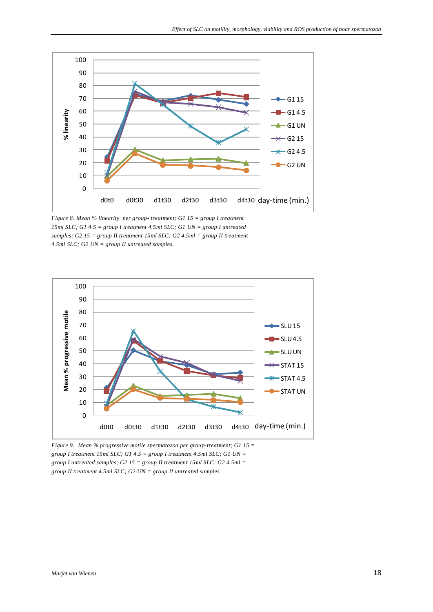

*Figure 8: Mean % linearity per group- treatment; G1 15 = group I treatment 15ml SLC; G1 4.5 = group I treatment 4.5ml SLC; G1 UN = group I untreated samples; G2 15 = group II treatment 15ml SLC; G2 4.5ml = group II treatment 4.5ml SLC; G2 UN = group II untreated samples.*



*Figure 9: Mean % progressive motile spermatozoa per group-treatment; G1 15 = group I treatment 15ml SLC; G1 4.5 = group I treatment 4.5ml SLC; G1 UN = group I untreated samples; G2 15 = group II treatment 15ml SLC; G2 4.5ml = group II treatment 4.5ml SLC; G2 UN = group II untreated samples.*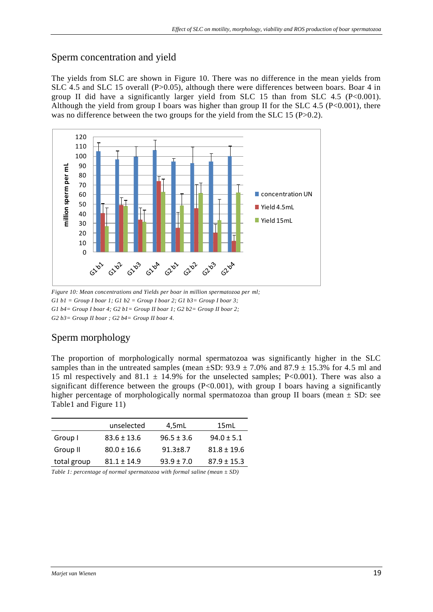### <span id="page-18-0"></span>Sperm concentration and yield

The yields from SLC are shown in Figure 10. There was no difference in the mean yields from SLC 4.5 and SLC 15 overall (P>0.05), although there were differences between boars. Boar 4 in group II did have a significantly larger yield from SLC 15 than from SLC 4.5 (P<0.001). Although the yield from group I boars was higher than group II for the SLC 4.5 ( $P < 0.001$ ), there was no difference between the two groups for the yield from the SLC 15 (P>0.2).



*Figure 10: Mean concentrations and Yields per boar in million spermatozoa per ml;*  G1  $b1 = Group I$  *boar 1; G1 b2 = Group I boar 2; G1 b3 = Group I boar 3; G1 b4= Group I boar 4; G2 b1= Group II boar 1; G2 b2= Group II boar 2; G2 b3= Group II boar ; G2 b4= Group II boar 4.*

# <span id="page-18-1"></span>Sperm morphology

The proportion of morphologically normal spermatozoa was significantly higher in the SLC samples than in the untreated samples (mean  $\pm$ SD: 93.9  $\pm$  7.0% and 87.9  $\pm$  15.3% for 4.5 ml and 15 ml respectively and 81.1  $\pm$  14.9% for the unselected samples; P<0.001). There was also a significant difference between the groups  $(P<0.001)$ , with group I boars having a significantly higher percentage of morphologically normal spermatozoa than group II boars (mean  $\pm$  SD: see Table1 and Figure 11)

|             | unselected      | 4,5mL          | 15mL            |
|-------------|-----------------|----------------|-----------------|
| Group I     | $83.6 \pm 13.6$ | $96.5 \pm 3.6$ | $94.0 \pm 5.1$  |
| Group II    | $80.0 \pm 16.6$ | $91.3 \pm 8.7$ | $81.8 \pm 19.6$ |
| total group | $81.1 \pm 14.9$ | $93.9 + 7.0$   | $87.9 \pm 15.3$ |

*Table 1: percentage of normal spermatozoa with formal saline (mean ± SD)*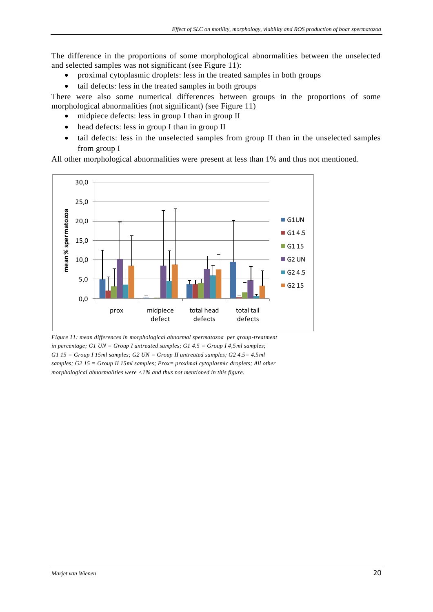The difference in the proportions of some morphological abnormalities between the unselected and selected samples was not significant (see Figure 11):

- proximal cytoplasmic droplets: less in the treated samples in both groups
- tail defects: less in the treated samples in both groups

There were also some numerical differences between groups in the proportions of some morphological abnormalities (not significant) (see Figure 11)

- midpiece defects: less in group I than in group II
- head defects: less in group I than in group II
- tail defects: less in the unselected samples from group II than in the unselected samples from group I

All other morphological abnormalities were present at less than 1% and thus not mentioned.



*Figure 11: mean differences in morphological abnormal spermatozoa per group-treatment in percentage; G1 UN = Group I untreated samples; G1 4.5 = Group I 4,5ml samples; G1 15 = Group I 15ml samples; G2 UN = Group II untreated samples; G2 4.5= 4.5ml samples; G2 15 = Group II 15ml samples; Prox= proximal cytoplasmic droplets; All other morphological abnormalities were <1% and thus not mentioned in this figure.*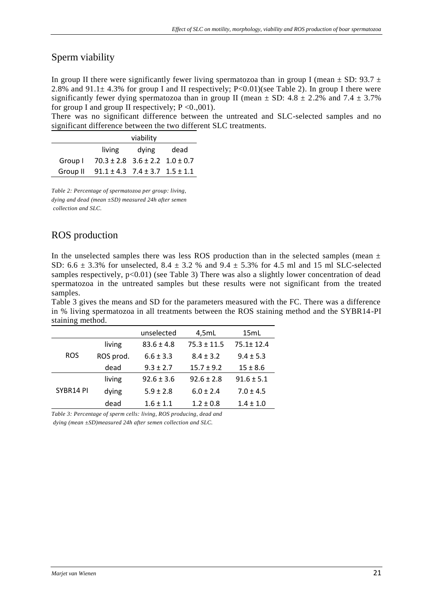### <span id="page-20-0"></span>Sperm viability

In group II there were significantly fewer living spermatozoa than in group I (mean  $\pm$  SD: 93.7  $\pm$ 2.8% and 91.1 $\pm$  4.3% for group I and II respectively; P<0.01)(see Table 2). In group I there were significantly fewer dying spermatozoa than in group II (mean  $\pm$  SD: 4.8  $\pm$  2.2% and 7.4  $\pm$  3.7% for group I and group II respectively;  $P < 0.001$ ).

There was no significant difference between the untreated and SLC-selected samples and no significant difference between the two different SLC treatments.

|         | viability                                           |       |      |  |
|---------|-----------------------------------------------------|-------|------|--|
|         | living                                              | dying | dead |  |
| Group I | $70.3 \pm 2.8$ 3.6 $\pm$ 2.2 1.0 $\pm$ 0.7          |       |      |  |
|         | Group II $91.1 \pm 4.3$ $7.4 \pm 3.7$ $1.5 \pm 1.1$ |       |      |  |

*Table 2: Percentage of spermatozoa per group: living, dying and dead (mean ±SD) measured 24h after semen collection and SLC.*

### <span id="page-20-1"></span>ROS production

In the unselected samples there was less ROS production than in the selected samples (mean  $\pm$ SD:  $6.6 \pm 3.3\%$  for unselected,  $8.4 \pm 3.2\%$  and  $9.4 \pm 5.3\%$  for 4.5 ml and 15 ml SLC-selected samples respectively,  $p<0.01$ ) (see Table 3) There was also a slightly lower concentration of dead spermatozoa in the untreated samples but these results were not significant from the treated samples.

Table 3 gives the means and SD for the parameters measured with the FC. There was a difference in % living spermatozoa in all treatments between the ROS staining method and the SYBR14-PI staining method.

|            |           | unselected     | 4,5mL           | 15mL            |
|------------|-----------|----------------|-----------------|-----------------|
| <b>ROS</b> | living    | $83.6 \pm 4.8$ | $75.3 \pm 11.5$ | $75.1 \pm 12.4$ |
|            | ROS prod. | $6.6 \pm 3.3$  | $8.4 \pm 3.2$   | $9.4 \pm 5.3$   |
|            | dead      | $9.3 \pm 2.7$  | $15.7 \pm 9.2$  | $15 \pm 8.6$    |
| SYBR14 PI  | living    | $92.6 \pm 3.6$ | $92.6 \pm 2.8$  | $91.6 \pm 5.1$  |
|            | dying     | $5.9 \pm 2.8$  | $6.0 \pm 2.4$   | $7.0 \pm 4.5$   |
|            | dead      | $1.6 \pm 1.1$  | $1.2 \pm 0.8$   | $1.4 \pm 1.0$   |

*Table 3: Percentage of sperm cells: living, ROS producing, dead and*

<span id="page-20-2"></span>*dying (mean ±SD)measured 24h after semen collection and SLC.*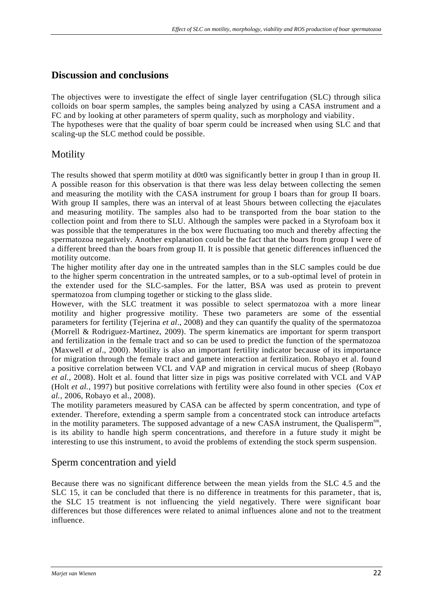### **Discussion and conclusions**

The objectives were to investigate the effect of single layer centrifugation (SLC) through silica colloids on boar sperm samples, the samples being analyzed by using a CASA instrument and a FC and by looking at other parameters of sperm quality, such as morphology and viability. The hypotheses were that the quality of boar sperm could be increased when using SLC and that scaling-up the SLC method could be possible.

# <span id="page-21-0"></span>Motility

The results showed that sperm motility at d0t0 was significantly better in group I than in group II. A possible reason for this observation is that there was less delay between collecting the semen and measuring the motility with the CASA instrument for group I boars than for group II boars. With group II samples, there was an interval of at least 5hours between collecting the ejaculates and measuring motility. The samples also had to be transported from the boar station to the collection point and from there to SLU. Although the samples were packed in a Styrofoam box it was possible that the temperatures in the box were fluctuating too much and thereby affecting the spermatozoa negatively. Another explanation could be the fact that the boars from group I were of a different breed than the boars from group II. It is possible that genetic differences influenced the motility outcome.

The higher motility after day one in the untreated samples than in the SLC samples could be due to the higher sperm concentration in the untreated samples, or to a sub-optimal level of protein in the extender used for the SLC-samples. For the latter, BSA was used as protein to prevent spermatozoa from clumping together or sticking to the glass slide.

However, with the SLC treatment it was possible to select spermatozoa with a more linear motility and higher progressive motility. These two parameters are some of the essential parameters for fertility (Tejerina *et al*., 2008) and they can quantify the quality of the spermatozoa (Morrell & Rodriguez-Martinez, 2009). The sperm kinematics are important for sperm transport and fertilization in the female tract and so can be used to predict the function of the spermatozoa (Maxwell *et al*., 2000). Motility is also an important fertility indicator because of its importance for migration through the female tract and gamete interaction at fertilization. Robayo et al. found a positive correlation between VCL and VAP and migration in cervical mucus of sheep (Robayo *et al.*, 2008). Holt et al. found that litter size in pigs was positive correlated with VCL and VAP (Holt *et al.*, 1997) but positive correlations with fertility were also found in other species (Cox *et al.*, 2006, Robayo et al., 2008).

The motility parameters measured by CASA can be affected by sperm concentration, and type of extender. Therefore, extending a sperm sample from a concentrated stock can introduce artefacts in the motility parameters. The supposed advantage of a new CASA instrument, the Qualisperm<sup>tm</sup>, is its ability to handle high sperm concentrations, and therefore in a future study it might be interesting to use this instrument, to avoid the problems of extending the stock sperm suspension.

### <span id="page-21-1"></span>Sperm concentration and yield

Because there was no significant difference between the mean yields from the SLC 4.5 and the SLC 15, it can be concluded that there is no difference in treatments for this parameter, that is, the SLC 15 treatment is not influencing the yield negatively. There were significant boar differences but those differences were related to animal influences alone and not to the treatment influence.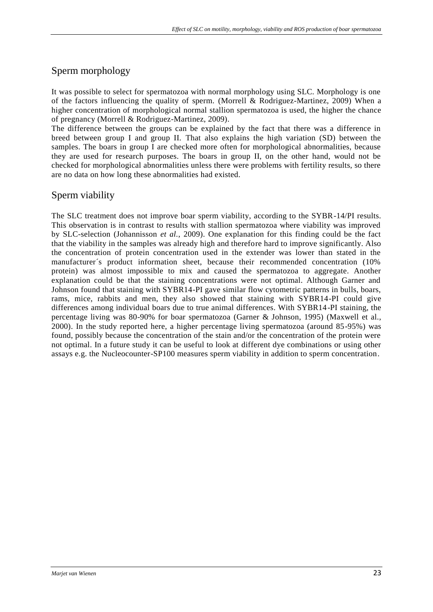# <span id="page-22-0"></span>Sperm morphology

It was possible to select for spermatozoa with normal morphology using SLC. Morphology is one of the factors influencing the quality of sperm. (Morrell & Rodriguez-Martinez, 2009) When a higher concentration of morphological normal stallion spermatozoa is used, the higher the chance of pregnancy (Morrell & Rodriguez-Martinez, 2009).

The difference between the groups can be explained by the fact that there was a difference in breed between group I and group II. That also explains the high variation (SD) between the samples. The boars in group I are checked more often for morphological abnormalities, because they are used for research purposes. The boars in group II, on the other hand, would not be checked for morphological abnormalities unless there were problems with fertility results, so there are no data on how long these abnormalities had existed.

# <span id="page-22-1"></span>Sperm viability

The SLC treatment does not improve boar sperm viability, according to the SYBR-14/PI results. This observation is in contrast to results with stallion spermatozoa where viability was improved by SLC-selection (Johannisson *et al.*, 2009). One explanation for this finding could be the fact that the viability in the samples was already high and therefore hard to improve significantly. Also the concentration of protein concentration used in the extender was lower than stated in the manufacturer´s product information sheet, because their recommended concentration (10% protein) was almost impossible to mix and caused the spermatozoa to aggregate. Another explanation could be that the staining concentrations were not optimal. Although Garner and Johnson found that staining with SYBR14-PI gave similar flow cytometric patterns in bulls, boars, rams, mice, rabbits and men, they also showed that staining with SYBR14-PI could give differences among individual boars due to true animal differences. With SYBR14-PI staining, the percentage living was 80-90% for boar spermatozoa (Garner & Johnson, 1995) (Maxwell et al., 2000). In the study reported here, a higher percentage living spermatozoa (around 85-95%) was found, possibly because the concentration of the stain and/or the concentration of the protein were not optimal. In a future study it can be useful to look at different dye combinations or using other assays e.g. the Nucleocounter-SP100 measures sperm viability in addition to sperm concentration.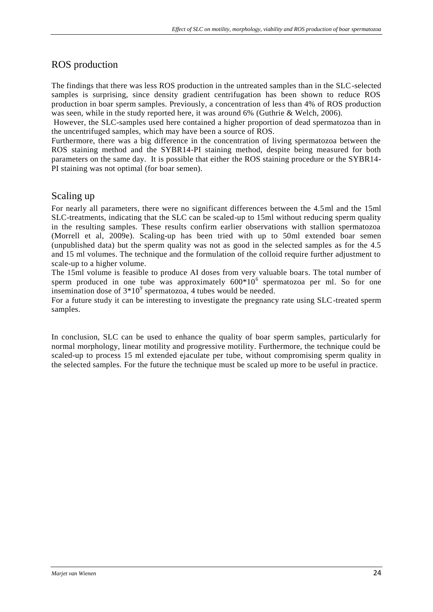# <span id="page-23-0"></span>ROS production

The findings that there was less ROS production in the untreated samples than in the SLC-selected samples is surprising, since density gradient centrifugation has been shown to reduce ROS production in boar sperm samples. Previously, a concentration of less than 4% of ROS production was seen, while in the study reported here, it was around 6% (Guthrie & Welch, 2006).

However, the SLC-samples used here contained a higher proportion of dead spermatozoa than in the uncentrifuged samples, which may have been a source of ROS.

Furthermore, there was a big difference in the concentration of living spermatozoa between the ROS staining method and the SYBR14-PI staining method, despite being measured for both parameters on the same day. It is possible that either the ROS staining procedure or the SYBR14- PI staining was not optimal (for boar semen).

### <span id="page-23-1"></span>Scaling up

For nearly all parameters, there were no significant differences between the 4.5ml and the 15ml SLC-treatments, indicating that the SLC can be scaled-up to 15ml without reducing sperm quality in the resulting samples. These results confirm earlier observations with stallion spermatozoa (Morrell et al, 2009e). Scaling-up has been tried with up to 50ml extended boar semen (unpublished data) but the sperm quality was not as good in the selected samples as for the 4.5 and 15 ml volumes. The technique and the formulation of the colloid require further adjustment to scale-up to a higher volume.

The 15ml volume is feasible to produce AI doses from very valuable boars. The total number of sperm produced in one tube was approximately  $600*10^6$  spermatozoa per ml. So for one insemination dose of  $3*10^9$  spermatozoa, 4 tubes would be needed.

For a future study it can be interesting to investigate the pregnancy rate using SLC-treated sperm samples.

In conclusion, SLC can be used to enhance the quality of boar sperm samples, particularly for normal morphology, linear motility and progressive motility. Furthermore, the technique could be scaled-up to process 15 ml extended ejaculate per tube, without compromising sperm quality in the selected samples. For the future the technique must be scaled up more to be useful in practice.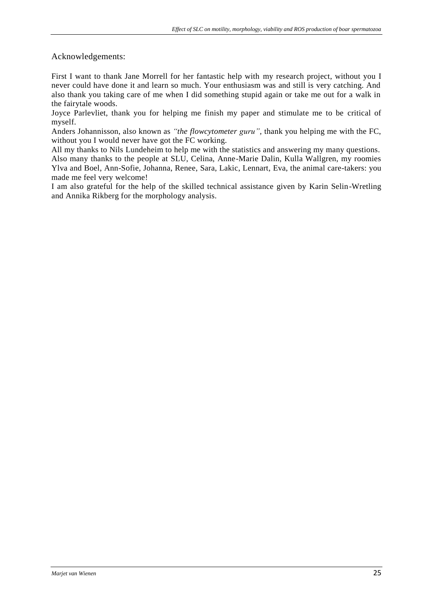#### Acknowledgements:

First I want to thank Jane Morrell for her fantastic help with my research project, without you I never could have done it and learn so much. Your enthusiasm was and still is very catching. And also thank you taking care of me when I did something stupid again or take me out for a walk in the fairytale woods.

Joyce Parlevliet, thank you for helping me finish my paper and stimulate me to be critical of myself.

Anders Johannisson, al*so* known as *"the flowcytometer guru",* thank you helping me with the FC, without you I would never have got the FC working.

All my thanks to Nils Lundeheim to help me with the statistics and answering my many questions. Also many thanks to the people at SLU, Celina, Anne-Marie Dalin, Kulla Wallgren, my roomies Ylva and Boel, Ann-Sofie, Johanna, Renee, Sara, Lakic, Lennart, Eva, the animal care-takers: you made me feel very welcome!

<span id="page-24-0"></span>I am also grateful for the help of the skilled technical assistance given by Karin Selin-Wretling and Annika Rikberg for the morphology analysis.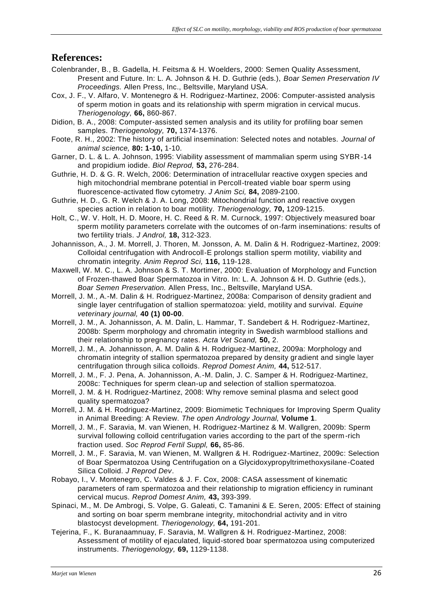### **References:**

- Colenbrander, B., B. Gadella, H. Feitsma & H. Woelders, 2000: Semen Quality Assessment, Present and Future. In: L. A. Johnson & H. D. Guthrie (eds.), *Boar Semen Preservation IV Proceedings.* Allen Press, Inc., Beltsville, Maryland USA.
- Cox, J. F., V. Alfaro, V. Montenegro & H. Rodriguez-Martinez, 2006: Computer-assisted analysis of sperm motion in goats and its relationship with sperm migration in cervical mucus. *Theriogenology,* **66,** 860-867.
- Didion, B. A., 2008: Computer-assisted semen analysis and its utility for profiling boar semen samples. *Theriogenology,* **70,** 1374-1376.
- Foote, R. H., 2002: The history of artificial insemination: Selected notes and notables. *Journal of animal science,* **80: 1-10,** 1-10.
- Garner, D. L. & L. A. Johnson, 1995: Viability assessment of mammalian sperm using SYBR-14 and propidium iodide. *Biol Reprod,* **53,** 276-284.
- Guthrie, H. D. & G. R. Welch, 2006: Determination of intracellular reactive oxygen species and high mitochondrial membrane potential in Percoll-treated viable boar sperm using fluorescence-activated flow cytometry. *J Anim Sci,* **84,** 2089-2100.
- Guthrie, H. D., G. R. Welch & J. A. Long, 2008: Mitochondrial function and reactive oxygen species action in relation to boar motility. *Theriogenology,* **70,** 1209-1215.
- Holt, C., W. V. Holt, H. D. Moore, H. C. Reed & R. M. Curnock, 1997: Objectively measured boar sperm motility parameters correlate with the outcomes of on-farm inseminations: results of two fertility trials. *J Androl,* **18,** 312-323.
- Johannisson, A., J. M. Morrell, J. Thoren, M. Jonsson, A. M. Dalin & H. Rodriguez-Martinez, 2009: Colloidal centrifugation with Androcoll-E prolongs stallion sperm motility, viability and chromatin integrity. *Anim Reprod Sci,* **116,** 119-128.
- Maxwell, W. M. C., L. A. Johnson & S. T. Mortimer, 2000: Evaluation of Morphology and Function of Frozen-thawed Boar Spermatozoa in Vitro. In: L. A. Johnson & H. D. Guthrie (eds.), *Boar Semen Preservation.* Allen Press, Inc., Beltsville, Maryland USA.
- Morrell, J. M., A.-M. Dalin & H. Rodriguez-Martinez, 2008a: Comparison of density gradient and single layer centrifugation of stallion spermatozoa: yield, motility and survival. *Equine veterinary journal,* **40 (1) 00-00**.
- Morrell, J. M., A. Johannisson, A. M. Dalin, L. Hammar, T. Sandebert & H. Rodriguez-Martinez, 2008b: Sperm morphology and chromatin integrity in Swedish warmblood stallions and their relationship to pregnancy rates. *Acta Vet Scand,* **50,** 2.
- Morrell, J. M., A. Johannisson, A. M. Dalin & H. Rodriguez-Martinez, 2009a: Morphology and chromatin integrity of stallion spermatozoa prepared by density gradient and single layer centrifugation through silica colloids. *Reprod Domest Anim,* **44,** 512-517.
- Morrell, J. M., F. J. Pena, A. Johannisson, A.-M. Dalin, J. C. Samper & H. Rodriguez-Martinez, 2008c: Techniques for sperm clean-up and selection of stallion spermatozoa.
- Morrell, J. M. & H. Rodriguez-Martinez, 2008: Why remove seminal plasma and select good quality spermatozoa?
- Morrell, J. M. & H. Rodriguez-Martinez, 2009: Biomimetic Techniques for Improving Sperm Quality in Animal Breeding: A Review. *The open Andrology Journal,* **Volume 1**.
- Morrell, J. M., F. Saravia, M. van Wienen, H. Rodriguez-Martinez & M. Wallgren, 2009b: Sperm survival following colloid centrifugation varies according to the part of the sperm -rich fraction used. *Soc Reprod Fertil Suppl,* **66,** 85-86.
- Morrell, J. M., F. Saravia, M. van Wienen, M. Wallgren & H. Rodriguez-Martinez, 2009c: Selection of Boar Spermatozoa Using Centrifugation on a Glycidoxypropyltrimethoxysilane-Coated Silica Colloid. *J Reprod Dev*.
- Robayo, I., V. Montenegro, C. Valdes & J. F. Cox, 2008: CASA assessment of kinematic parameters of ram spermatozoa and their relationship to migration efficiency in ruminant cervical mucus. *Reprod Domest Anim,* **43,** 393-399.
- Spinaci, M., M. De Ambrogi, S. Volpe, G. Galeati, C. Tamanini & E. Seren, 2005: Effect of staining and sorting on boar sperm membrane integrity, mitochondrial activity and in vitro blastocyst development. *Theriogenology,* **64,** 191-201.
- Tejerina, F., K. Buranaamnuay, F. Saravia, M. Wallgren & H. Rodriguez-Martinez, 2008: Assessment of motility of ejaculated, liquid-stored boar spermatozoa using computerized instruments. *Theriogenology,* **69,** 1129-1138.